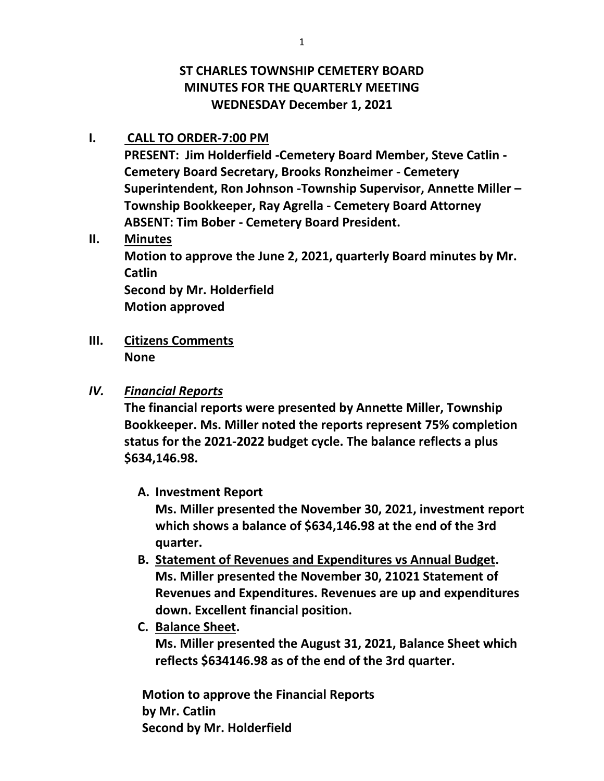# **ST CHARLES TOWNSHIP CEMETERY BOARD MINUTES FOR THE QUARTERLY MEETING WEDNESDAY December 1, 2021**

### **I. CALL TO ORDER-7:00 PM**

**PRESENT: Jim Holderfield -Cemetery Board Member, Steve Catlin - Cemetery Board Secretary, Brooks Ronzheimer - Cemetery Superintendent, Ron Johnson -Township Supervisor, Annette Miller – Township Bookkeeper, Ray Agrella - Cemetery Board Attorney ABSENT: Tim Bober - Cemetery Board President.**

## **II. Minutes**

**Motion to approve the June 2, 2021, quarterly Board minutes by Mr. Catlin**

**Second by Mr. Holderfield Motion approved**

**III. Citizens Comments None**

## *IV. Financial Reports*

**The financial reports were presented by Annette Miller, Township Bookkeeper. Ms. Miller noted the reports represent 75% completion status for the 2021-2022 budget cycle. The balance reflects a plus \$634,146.98.** 

## **A. Investment Report**

**Ms. Miller presented the November 30, 2021, investment report which shows a balance of \$634,146.98 at the end of the 3rd quarter.**

- **B. Statement of Revenues and Expenditures vs Annual Budget. Ms. Miller presented the November 30, 21021 Statement of Revenues and Expenditures. Revenues are up and expenditures down. Excellent financial position.**
- **C. Balance Sheet.**

**Ms. Miller presented the August 31, 2021, Balance Sheet which reflects \$634146.98 as of the end of the 3rd quarter.**

**Motion to approve the Financial Reports by Mr. Catlin Second by Mr. Holderfield**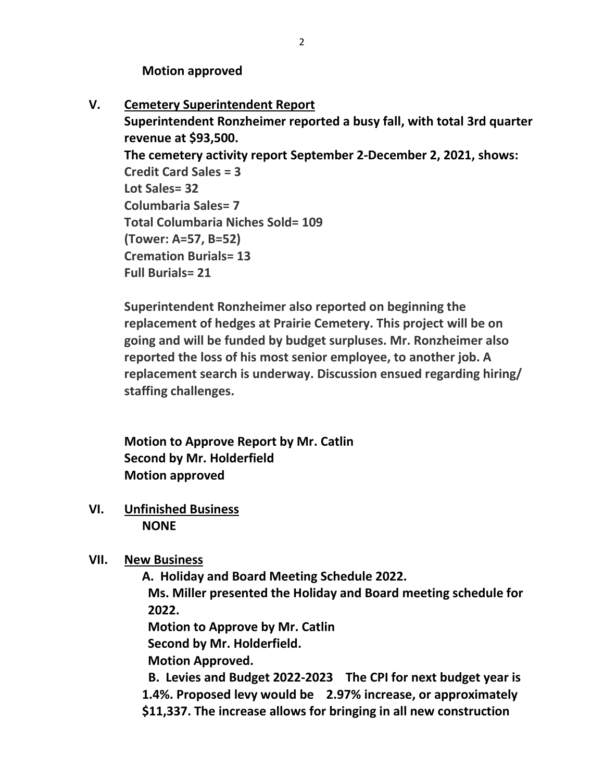**Motion approved**

**V. Cemetery Superintendent Report**

**Superintendent Ronzheimer reported a busy fall, with total 3rd quarter revenue at \$93,500. The cemetery activity report September 2-December 2, 2021, shows: Credit Card Sales = 3 Lot Sales= 32 Columbaria Sales= 7 Total Columbaria Niches Sold= 109 (Tower: A=57, B=52) Cremation Burials= 13 Full Burials= 21**

**Superintendent Ronzheimer also reported on beginning the replacement of hedges at Prairie Cemetery. This project will be on going and will be funded by budget surpluses. Mr. Ronzheimer also reported the loss of his most senior employee, to another job. A replacement search is underway. Discussion ensued regarding hiring/ staffing challenges.**

**Motion to Approve Report by Mr. Catlin Second by Mr. Holderfield Motion approved**

- **VI. Unfinished Business NONE**
- **VII. New Business**

**A. Holiday and Board Meeting Schedule 2022. Ms. Miller presented the Holiday and Board meeting schedule for 2022.** 

**Motion to Approve by Mr. Catlin**

**Second by Mr. Holderfield.** 

**Motion Approved.**

 **B. Levies and Budget 2022-2023 The CPI for next budget year is 1.4%. Proposed levy would be 2.97% increase, or approximately \$11,337. The increase allows for bringing in all new construction**